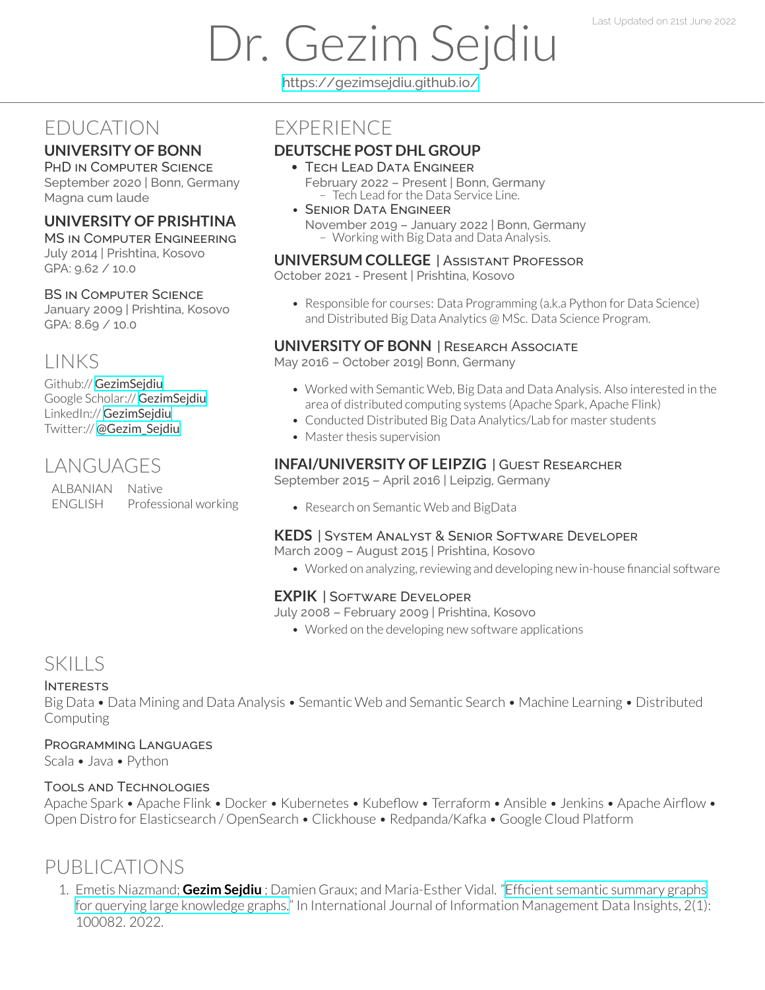# Dr. Gezim Sejdiu

<https://gezimsejdiu.github.io/>

## EDUCATION

#### **UNIVERSITY OF BONN**

PHD IN COMPUTER SCIENCE September 2020 | Bonn, Germany Magna cum laude

#### **UNIVERSITY OF PRISHTINA**

MS IN COMPUTER ENGINEERING July 2014 | Prishtina, Kosovo GPA: 9.62 / 10.0

#### BS IN COMPUTER SCIENCE

January 2009 | Prishtina, Kosovo GPA: 8.69 / 10.0

# LINKS

Github:// [GezimSejdiu](https://github.com/GezimSejdiu) Google Scholar:// [GezimSejdiu](https://scholar.google.com/citations?user=Lpbwr9oAAAAJ&hl=en) LinkedIn:// [GezimSejdiu](https://www.linkedin.com/in/gezim-sejdiu-08b1761b/) Twitter:// [@Gezim\\_Sejdiu](https://twitter.com/Gezim_Sejdiu)

# LANGUAGES

ALBANIAN Native ENGLISH Professional working

### **EXPERIENCE**

#### **DEUTSCHE POST DHL GROUP**

- TECH LEAD DATA ENGINEER February 2022 – Present | Bonn, Germany - Tech Lead for the Data Service Line.
- SENIOR DATA ENGINEER November 2019 – January 2022 | Bonn, Germany – Working with Big Data and Data Analysis.

#### **UNIVERSUM COLLEGE** | ASSISTANT PROFESSOR

October 2021 - Present | Prishtina, Kosovo

• Responsible for courses: Data Programming (a.k.a Python for Data Science) and Distributed Big Data Analytics @ MSc. Data Science Program.

#### **UNIVERSITY OF BONN** | RESEARCH ASSOCIATE

May 2016 – October 2019| Bonn, Germany

- Worked with Semantic Web, Big Data and Data Analysis. Also interested in the area of distributed computing systems (Apache Spark, Apache Flink)
- Conducted Distributed Big Data Analytics/Lab for master students
- Master thesis supervision

#### **INFAI/UNIVERSITY OF LEIPZIG** | GUEST RESEARCHER

September 2015 – April 2016 | Leipzig, Germany

• Research on Semantic Web and BigData

#### **KEDS** | SYSTEM ANALYST & SENIOR SOFTWARE DEVELOPER

March 2009 – August 2015 | Prishtina, Kosovo

• Worked on analyzing, reviewing and developing new in-house financial software

#### **EXPIK** | SOFTWARE DEVELOPER

July 2008 – February 2009 | Prishtina, Kosovo

• Worked on the developing new software applications

## **SKILLS**

#### INTERESTS

Big Data • Data Mining and Data Analysis • Semantic Web and Semantic Search • Machine Learning • Distributed Computing

#### PROGRAMMING LANGUAGES

Scala • Java • Python

#### TOOLS AND TECHNOLOGIES

Apache Spark • Apache Flink • Docker • Kubernetes • Kubeflow • Terraform • Ansible • Jenkins • Apache Airflow • Open Distro for Elasticsearch / OpenSearch • Clickhouse • Redpanda/Kafka • Google Cloud Platform

# PUBLICATIONS

1. Emetis Niazmand; **Gezim Sejdiu** ; Damien Graux; and Maria-Esther Vidal. "Efficient semantic [summary](https://www.sciencedirect.com/science/article/pii/S2667096822000258) graphs for querying large [knowledge](https://www.sciencedirect.com/science/article/pii/S2667096822000258) graphs." In International Journal of Information Management Data Insights, 2(1): 100082. 2022.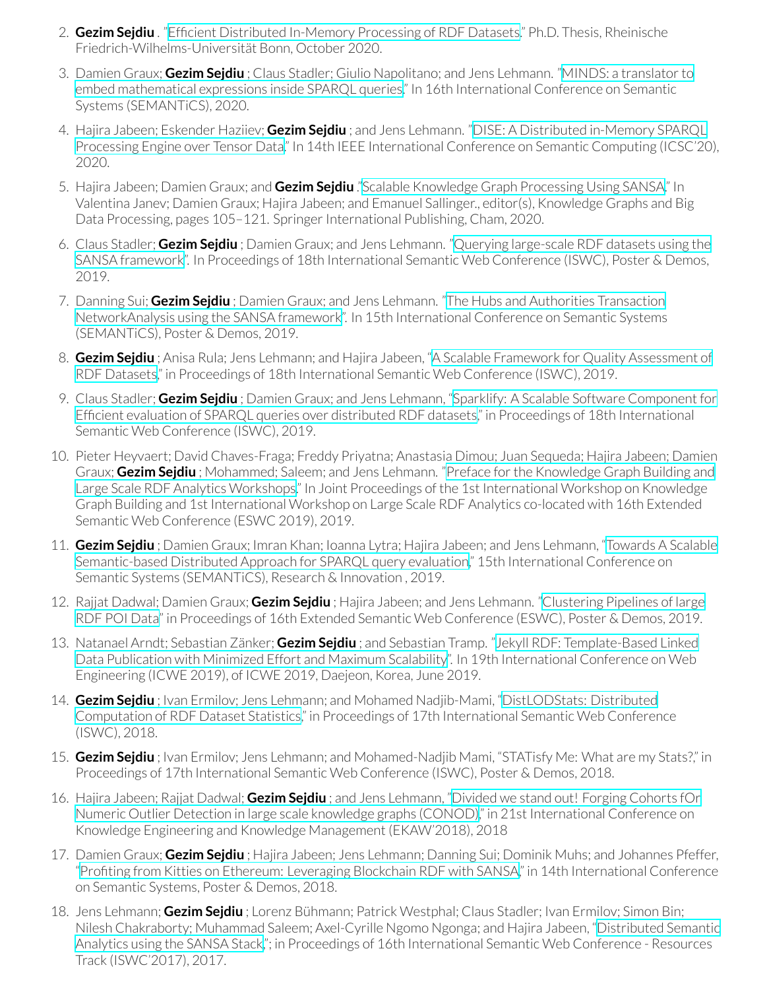- 2. **Gezim Sejdiu** . "Efficient [Distributed](http://hdl.handle.net/20.500.11811/8735) In-Memory Processing of RDF Datasets." Ph.D. Thesis, Rheinische Friedrich-Wilhelms-Universität Bonn, October 2020.
- 3. Damien Graux; **Gezim Sejdiu** ; Claus Stadler; Giulio Napolitano; and Jens Lehmann. "MINDS: a [translatorto](https://dgraux.github.io/publications/MINDS_Semantics_2020.pdf) embed [mathematical](https://dgraux.github.io/publications/MINDS_Semantics_2020.pdf) expressions inside SPARQL queries." In 16th International Conference on Semantic Systems (SEMANTiCS), 2020.
- 4. Hajira Jabeen; Eskender Haziiev; **Gezim Sejdiu** ; and Jens Lehmann. "DISE: A [Distributed](http://jens-lehmann.org/files/2020/icsc_dise.pdf) in-Memory SPARQL [Processing](http://jens-lehmann.org/files/2020/icsc_dise.pdf) Engine over Tensor Data." In 14th IEEE International Conference on Semantic Computing (ICSC'20), 2020.
- 5. Hajira Jabeen; Damien Graux; and **Gezim Sejdiu** ."Scalable [Knowledge](https://doi.org/10.1007/978-3-030-53199-7_7) Graph Processing Using SANSA." In Valentina Janev; Damien Graux; Hajira Jabeen; and Emanuel Sallinger., editor(s), Knowledge Graphs and Big Data Processing, pages 105-121. Springer International Publishing, Cham, 2020.
- 6. Claus Stadler; **Gezim Sejdiu** ; Damien Graux; and Jens Lehmann. "Querying [large-scale](https://gezimsejdiu.github.io/publications/sansa-sparklify-ISWC-demo.pdf) RDF datasets using the SANSA [framework](https://gezimsejdiu.github.io/publications/sansa-sparklify-ISWC-demo.pdf)". In Proceedings of 18th International Semantic Web Conference (ISWC), Poster & Demos, 2019.
- 7. Danning Sui; **Gezim Sejdiu** ; Damien Graux; and Jens Lehmann. "The Hubs and Authorities [Transaction](https://gezimsejdiu.github.io/publications/sansa-hubs-and-authorities-transaction-semantics19-poster.pdf) [NetworkAnalysis](https://gezimsejdiu.github.io/publications/sansa-hubs-and-authorities-transaction-semantics19-poster.pdf) using the SANSA framework". In 15th International Conference on Semantic Systems (SEMANTiCS), Poster & Demos, 2019.
- 8. **Gezim Sejdiu** ; Anisa Rula; Jens Lehmann; and Hajira Jabeen, "A Scalable Framework for Quality [Assessment](http://jens-lehmann.org/files/2019/iswc_dist_quality_assessment.pdf) of RDF [Datasets,](http://jens-lehmann.org/files/2019/iswc_dist_quality_assessment.pdf)" in Proceedings of 18th International Semantic Web Conference (ISWC), 2019.
- 9. Claus Stadler; **Gezim Sejdiu** ; Damien Graux; and Jens Lehmann, "Sparklify: A Scalable Software [Component](http://jens-lehmann.org/files/2019/iswc_sparklify.pdf) for Efficient evaluation of SPARQL queries over [distributed](http://jens-lehmann.org/files/2019/iswc_sparklify.pdf) RDF datasets," in Proceedings of 18th International Semantic Web Conference (ISWC), 2019.
- 10. Pieter Heyvaert; David Chaves-Fraga; Freddy Priyatna; Anastasia Dimou; Juan Sequeda; Hajira Jabeen; Damien Graux; **Gezim Sejdiu** ; Mohammed; Saleem; and Jens Lehmann. "Preface forthe [Knowledge](http://ceur-ws.org/Vol-2489/xpreface.pdf) Graph Building and Large Scale RDF Analytics [Workshops.](http://ceur-ws.org/Vol-2489/xpreface.pdf)" In Joint Proceedings of the 1st International Workshop on Knowledge Graph Building and 1st International Workshop on Large Scale RDF Analytics co-located with 16th Extended Semantic Web Conference (ESWC 2019), 2019.
- 11. **Gezim Sejdiu** ; Damien Graux; Imran Khan; Ioanna Lytra; Hajira Jabeen; and Jens Lehmann, ["Towards](https://gezimsejdiu.github.io/publications/semantic_based_query_paper_SEMANTICS2019.pdf) A Scalable [Semantic-based](https://gezimsejdiu.github.io/publications/semantic_based_query_paper_SEMANTICS2019.pdf) Distributed Approach for SPARQL query evaluation," 15th International Conference on Semantic Systems (SEMANTiCS), Research & Innovation , 2019.
- 12. Rajjat Dadwal; Damien Graux; **Gezim Sejdiu** ; Hajira Jabeen; and Jens Lehmann. ["Clustering](https://gezimsejdiu.github.io/publications/piping-clustering-eswc19-poster.pdf) Pipelines of large RDF POI [Data"](https://gezimsejdiu.github.io/publications/piping-clustering-eswc19-poster.pdf) in Proceedings of 16th Extended Semantic Web Conference (ESWC), Poster & Demos, 2019.
- 13. Natanael Arndt; Sebastian Zänker; **Gezim Sejdiu** ; and Sebastian Tramp. "Jekyll RDF: [Template-Based](https://svn.aksw.org/papers/2019/ICWE_JekyllRDF/public.pdf) Linked Data [Publication](https://svn.aksw.org/papers/2019/ICWE_JekyllRDF/public.pdf) with Minimized Effort and Maximum Scalability". In 19th International Conference on Web Engineering (ICWE 2019), of ICWE 2019, Daejeon, Korea, June 2019.
- 14. **Gezim Sejdiu** ; Ivan Ermilov; Jens Lehmann; and Mohamed Nadjib-Mami, "[DistLODStats:](http://jens-lehmann.org/files/2018/iswc_distlodstats.pdf) Distributed [Computation](http://jens-lehmann.org/files/2018/iswc_distlodstats.pdf) of RDF Dataset Statistics," in Proceedings of 17th International Semantic Web Conference (ISWC), 2018.
- 15. **Gezim Sejdiu** ; Ivan Ermilov; Jens Lehmann; and Mohamed-Nadjib Mami, "STATisfy Me: What are my Stats?," in Proceedings of 17th International Semantic Web Conference (ISWC), Poster & Demos, 2018.
- 16. Hajira Jabeen; Rajjat Dadwal; **Gezim Sejdiu** ; and Jens Lehmann, "Divided we stand out! Forging [Cohorts](http://jens-lehmann.org/files/2018/ekaw_conod.pdf) fOr Numeric Outlier Detection in large scale [knowledge](http://jens-lehmann.org/files/2018/ekaw_conod.pdf) graphs (CONOD)," in 21st International Conference on Knowledge Engineering and Knowledge Management (EKAW'2018), 2018
- 17. Damien Graux; **Gezim Sejdiu** ; Hajira Jabeen; Jens Lehmann; Danning Sui; Dominik Muhs; and Johannes Pfeffer, "Profiting from Kitties on Ethereum: [Leveraging](http://jens-lehmann.org/files/2018/semantics_ethereum_pd.pdf) Blockchain RDF with SANSA," in 14th International Conference on Semantic Systems, Poster & Demos, 2018.
- 18. Jens Lehmann; **Gezim Sejdiu** ; Lorenz Bühmann; Patrick Westphal; Claus Stadler; Ivan Ermilov; Simon Bin; Nilesh Chakraborty; Muhammad Saleem; Axel-Cyrille Ngomo Ngonga; and Hajira Jabeen, "[Distributed](http://svn.aksw.org/papers/2017/ISWC_SANSA_SoftwareFramework/public.pdf) Semantic [Analytics](http://svn.aksw.org/papers/2017/ISWC_SANSA_SoftwareFramework/public.pdf) using the SANSA Stack,"; in Proceedings of 16th International Semantic Web Conference - Resources Track (ISWC'2017), 2017.